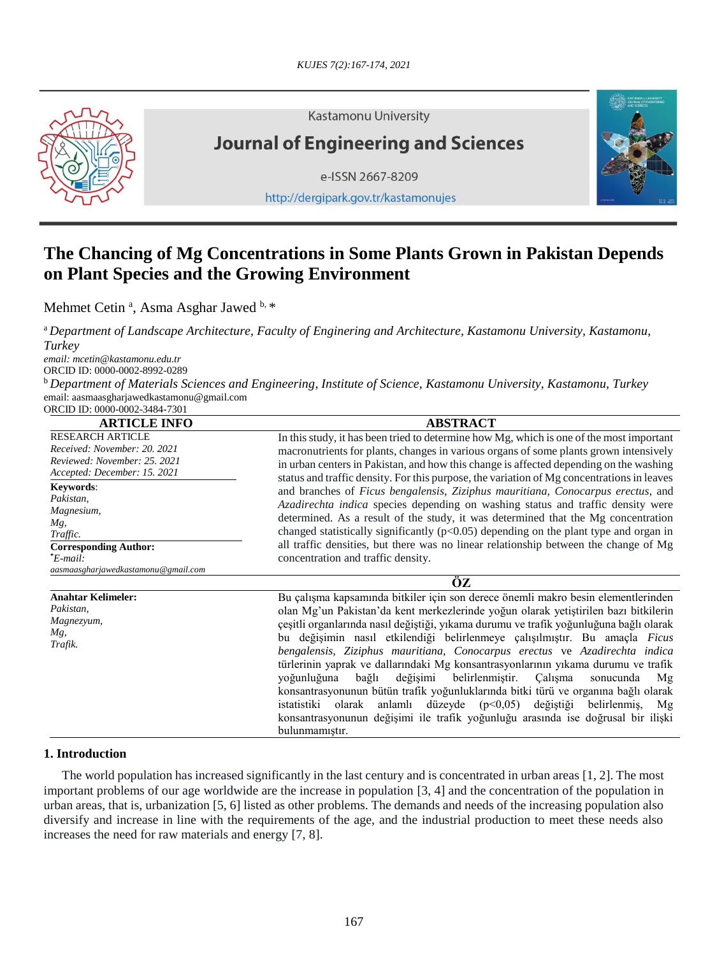

**Kastamonu University** 

# **Journal of Engineering and Sciences**

e-ISSN 2667-8209

http://dergipark.gov.tr/kastamonujes



## **The Chancing of Mg Concentrations in Some Plants Grown in Pakistan Depends on Plant Species and the Growing Environment**

Mehmet Cetin<sup>a</sup>, Asma Asghar Jawed b, \*

<sup>a</sup>*Department of Landscape Architecture, Faculty of Enginering and Architecture, Kastamonu University, Kastamonu, Turkey* 

*email: mcetin@kastamonu.edu.tr* ORCID ID: 0000-0002-8992-0289

<sup>b</sup> *Department of Materials Sciences and Engineering, Institute of Science, Kastamonu University, Kastamonu, Turkey* email: [aasmaasgharjawedkastamonu@gmail.com](mailto:aasmaasgharjawedkastamonu@gmail.com) ORCID ID: 0000-0002-3484-7301

| <b>ARTICLE INFO</b>                                                                                                     | <b>ABSTRACT</b>                                                                                                                                                                                                                                                                                                                                                                                                                                                                                                                                                                                                                                                                                                                                                                                                                                                                                   |  |  |  |
|-------------------------------------------------------------------------------------------------------------------------|---------------------------------------------------------------------------------------------------------------------------------------------------------------------------------------------------------------------------------------------------------------------------------------------------------------------------------------------------------------------------------------------------------------------------------------------------------------------------------------------------------------------------------------------------------------------------------------------------------------------------------------------------------------------------------------------------------------------------------------------------------------------------------------------------------------------------------------------------------------------------------------------------|--|--|--|
| <b>RESEARCH ARTICLE</b><br>Received: November: 20, 2021<br>Reviewed: November: 25, 2021<br>Accepted: December: 15. 2021 | In this study, it has been tried to determine how Mg, which is one of the most important<br>macronutrients for plants, changes in various organs of some plants grown intensively<br>in urban centers in Pakistan, and how this change is affected depending on the washing<br>status and traffic density. For this purpose, the variation of Mg concentrations in leaves                                                                                                                                                                                                                                                                                                                                                                                                                                                                                                                         |  |  |  |
| Keywords:<br>Pakistan,<br>Magnesium,<br>Mg,<br>Traffic.                                                                 | and branches of Ficus bengalensis, Ziziphus mauritiana, Conocarpus erectus, and<br><i>Azadirechta indica</i> species depending on washing status and traffic density were<br>determined. As a result of the study, it was determined that the Mg concentration<br>changed statistically significantly $(p<0.05)$ depending on the plant type and organ in<br>all traffic densities, but there was no linear relationship between the change of Mg                                                                                                                                                                                                                                                                                                                                                                                                                                                 |  |  |  |
| <b>Corresponding Author:</b><br>*E-mail:<br>aasmaasgharjawedkastamonu@gmail.com                                         | concentration and traffic density.                                                                                                                                                                                                                                                                                                                                                                                                                                                                                                                                                                                                                                                                                                                                                                                                                                                                |  |  |  |
|                                                                                                                         | ÖZ                                                                                                                                                                                                                                                                                                                                                                                                                                                                                                                                                                                                                                                                                                                                                                                                                                                                                                |  |  |  |
| <b>Anahtar Kelimeler:</b><br>Pakistan,<br>Magnezyum,<br>Mg,<br>Trafik.                                                  | Bu çalışma kapsamında bitkiler için son derece önemli makro besin elementlerinden<br>olan Mg'un Pakistan'da kent merkezlerinde yoğun olarak yetiştirilen bazı bitkilerin<br>çeşitli organlarında nasıl değiştiği, yıkama durumu ve trafik yoğunluğuna bağlı olarak<br>bu değişimin nasıl etkilendiği belirlenmeye çalışılmıştır. Bu amaçla Ficus<br>bengalensis, Ziziphus mauritiana, Conocarpus erectus ve Azadirechta indica<br>türlerinin yaprak ve dallarındaki Mg konsantrasyonlarının yıkama durumu ve trafik<br>belirlenmiştir.<br>voğunluğuna<br>bağlı<br>değişimi<br>Calisma<br>sonucunda<br>Mg<br>konsantrasyonunun bütün trafik yoğunluklarında bitki türü ve organına bağlı olarak<br>düzeyde $(p<0,05)$<br>değiştiği<br>belirlenmis,<br>istatistiki<br>olarak<br>anlamlı<br>Mg<br>konsantrasyonunun değişimi ile trafik yoğunluğu arasında ise doğrusal bir ilişki<br>bulunmamıştır. |  |  |  |

## **1. Introduction**

The world population has increased significantly in the last century and is concentrated in urban areas [1, 2]. The most important problems of our age worldwide are the increase in population [3, 4] and the concentration of the population in urban areas, that is, urbanization [5, 6] listed as other problems. The demands and needs of the increasing population also diversify and increase in line with the requirements of the age, and the industrial production to meet these needs also increases the need for raw materials and energy [7, 8].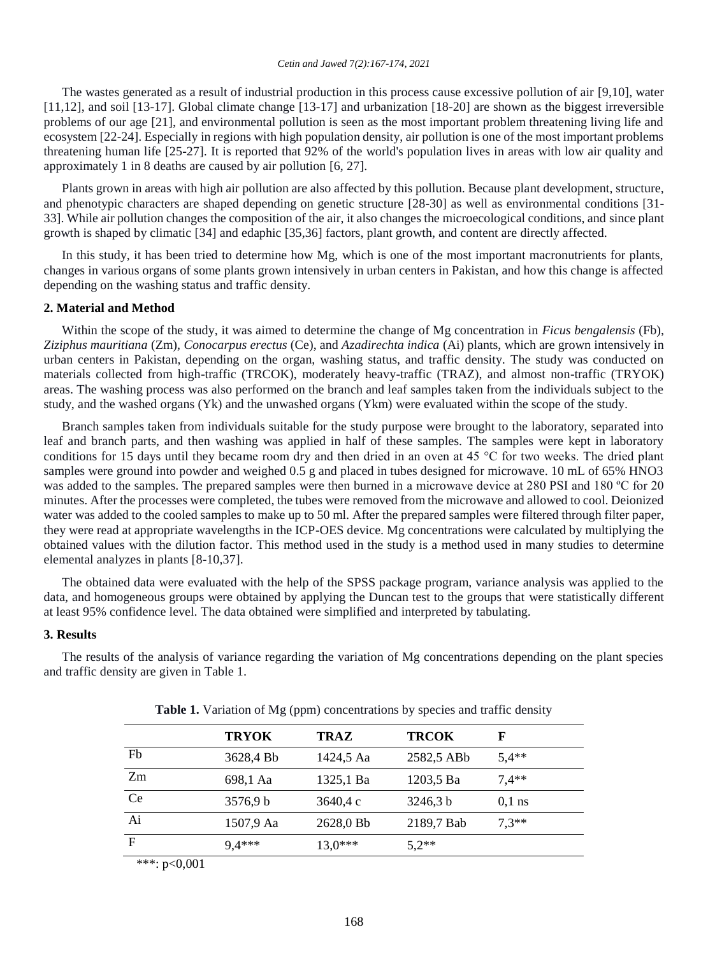The wastes generated as a result of industrial production in this process cause excessive pollution of air [9,10], water [11,12], and soil [13-17]. Global climate change [13-17] and urbanization [18-20] are shown as the biggest irreversible problems of our age [21], and environmental pollution is seen as the most important problem threatening living life and ecosystem [22-24]. Especially in regions with high population density, air pollution is one of the most important problems threatening human life [25-27]. It is reported that 92% of the world's population lives in areas with low air quality and approximately 1 in 8 deaths are caused by air pollution [6, 27].

Plants grown in areas with high air pollution are also affected by this pollution. Because plant development, structure, and phenotypic characters are shaped depending on genetic structure [28-30] as well as environmental conditions [31- 33]. While air pollution changes the composition of the air, it also changes the microecological conditions, and since plant growth is shaped by climatic [34] and edaphic [35,36] factors, plant growth, and content are directly affected.

In this study, it has been tried to determine how Mg, which is one of the most important macronutrients for plants, changes in various organs of some plants grown intensively in urban centers in Pakistan, and how this change is affected depending on the washing status and traffic density.

#### **2. Material and Method**

Within the scope of the study, it was aimed to determine the change of Mg concentration in *Ficus bengalensis* (Fb), *Ziziphus mauritiana* (Zm), *Conocarpus erectus* (Ce), and *Azadirechta indica* (Ai) plants, which are grown intensively in urban centers in Pakistan, depending on the organ, washing status, and traffic density. The study was conducted on materials collected from high-traffic (TRCOK), moderately heavy-traffic (TRAZ), and almost non-traffic (TRYOK) areas. The washing process was also performed on the branch and leaf samples taken from the individuals subject to the study, and the washed organs (Yk) and the unwashed organs (Ykm) were evaluated within the scope of the study.

Branch samples taken from individuals suitable for the study purpose were brought to the laboratory, separated into leaf and branch parts, and then washing was applied in half of these samples. The samples were kept in laboratory conditions for 15 days until they became room dry and then dried in an oven at 45 °C for two weeks. The dried plant samples were ground into powder and weighed 0.5 g and placed in tubes designed for microwave. 10 mL of 65% HNO3 was added to the samples. The prepared samples were then burned in a microwave device at 280 PSI and 180 °C for 20 minutes. After the processes were completed, the tubes were removed from the microwave and allowed to cool. Deionized water was added to the cooled samples to make up to 50 ml. After the prepared samples were filtered through filter paper, they were read at appropriate wavelengths in the ICP-OES device. Mg concentrations were calculated by multiplying the obtained values with the dilution factor. This method used in the study is a method used in many studies to determine elemental analyzes in plants [8-10,37].

The obtained data were evaluated with the help of the SPSS package program, variance analysis was applied to the data, and homogeneous groups were obtained by applying the Duncan test to the groups that were statistically different at least 95% confidence level. The data obtained were simplified and interpreted by tabulating.

## **3. Results**

The results of the analysis of variance regarding the variation of Mg concentrations depending on the plant species and traffic density are given in Table 1.

|               | <b>TRYOK</b> | <b>TRAZ</b> | <b>TRCOK</b> | F        |
|---------------|--------------|-------------|--------------|----------|
| Fb            | 3628,4 Bb    | 1424,5 Aa   | 2582,5 ABb   | $5.4**$  |
| Zm            | 698,1 Aa     | 1325,1 Ba   | 1203.5 Ba    | $7.4**$  |
| <b>Ce</b>     | 3576.9 b     | 3640,4 c    | 3246.3 b     | $0.1$ ns |
| Ai            | 1507,9 Aa    | 2628,0 Bb   | 2189,7 Bab   | $7.3**$  |
| $\mathbf F$   | $9.4***$     | $13.0***$   | $5,2**$      |          |
| *** $n<0$ 001 |              |             |              |          |

Table 1. Variation of Mg (ppm) concentrations by species and traffic density

∵ p<∪,∪∪1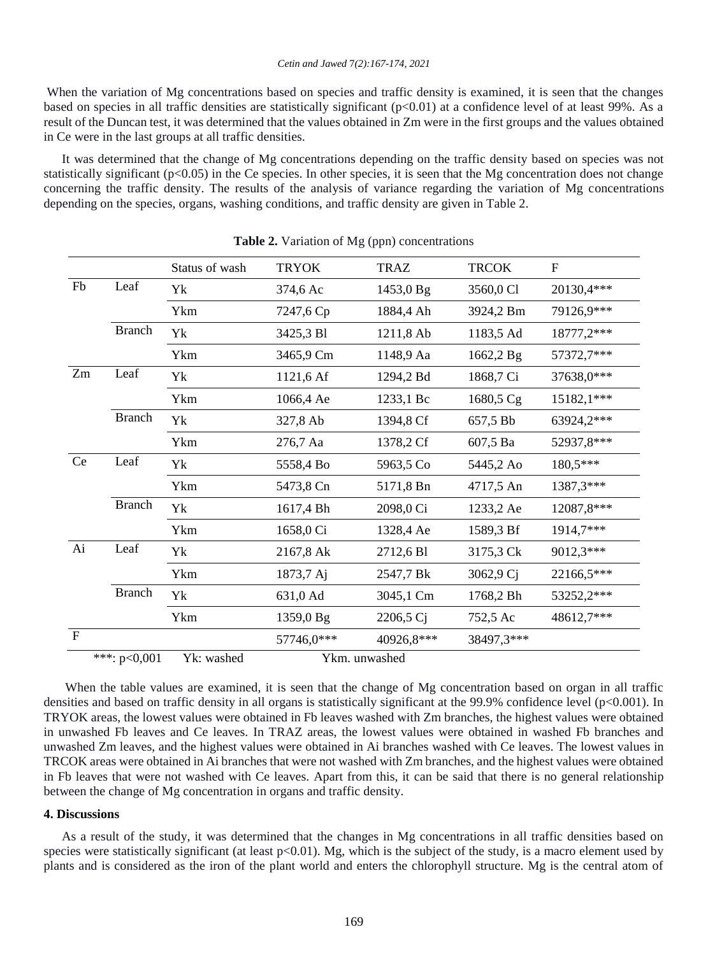When the variation of Mg concentrations based on species and traffic density is examined, it is seen that the changes based on species in all traffic densities are statistically significant (p<0.01) at a confidence level of at least 99%. As a result of the Duncan test, it was determined that the values obtained in Zm were in the first groups and the values obtained in Ce were in the last groups at all traffic densities.

It was determined that the change of Mg concentrations depending on the traffic density based on species was not statistically significant ( $p<0.05$ ) in the Ce species. In other species, it is seen that the Mg concentration does not change concerning the traffic density. The results of the analysis of variance regarding the variation of Mg concentrations depending on the species, organs, washing conditions, and traffic density are given in Table 2.

|                             | <b>rapic 2.</b> Variation of Mg (ppn) concentrations |                |               |             |              |                           |  |  |  |
|-----------------------------|------------------------------------------------------|----------------|---------------|-------------|--------------|---------------------------|--|--|--|
|                             |                                                      | Status of wash | <b>TRYOK</b>  | <b>TRAZ</b> | <b>TRCOK</b> | $\boldsymbol{\mathrm{F}}$ |  |  |  |
| Fb<br>Leaf<br><b>Branch</b> | Yk                                                   | 374,6 Ac       | 1453,0 Bg     | 3560,0 Cl   | 20130,4***   |                           |  |  |  |
|                             | Ykm                                                  | 7247,6 Cp      | 1884,4 Ah     | 3924,2 Bm   | 79126,9***   |                           |  |  |  |
|                             | Yk                                                   | 3425,3 Bl      | 1211,8 Ab     | 1183,5 Ad   | 18777,2***   |                           |  |  |  |
|                             |                                                      | Ykm            | 3465,9 Cm     | 1148,9 Aa   | 1662,2 Bg    | 57372,7***                |  |  |  |
| Zm<br>Leaf<br><b>Branch</b> |                                                      | Yk             | 1121,6 Af     | 1294,2 Bd   | 1868,7 Ci    | 37638,0***                |  |  |  |
|                             |                                                      | Ykm            | 1066,4 Ae     | 1233,1 Bc   | 1680,5 Cg    | 15182,1***                |  |  |  |
|                             |                                                      | Yk             | 327,8 Ab      | 1394,8 Cf   | 657,5 Bb     | 63924,2***                |  |  |  |
|                             |                                                      | Ykm            | 276,7 Aa      | 1378,2 Cf   | 607,5 Ba     | 52937,8***                |  |  |  |
| Leaf<br>Ce                  |                                                      | Yk             | 5558,4 Bo     | 5963,5 Co   | 5445,2 Ao    | 180,5***                  |  |  |  |
|                             |                                                      | Ykm            | 5473,8 Cn     | 5171,8 Bn   | 4717,5 An    | 1387,3***                 |  |  |  |
|                             | <b>Branch</b>                                        | Yk             | 1617,4 Bh     | 2098,0 Ci   | 1233,2 Ae    | 12087,8***                |  |  |  |
|                             |                                                      | Ykm            | 1658,0 Ci     | 1328,4 Ae   | 1589,3 Bf    | 1914,7***                 |  |  |  |
| Ai                          | Leaf                                                 | Yk             | 2167,8 Ak     | 2712,6 Bl   | 3175,3 Ck    | 9012,3***                 |  |  |  |
|                             |                                                      | Ykm            | 1873,7 Aj     | 2547,7 Bk   | 3062,9 Cj    | 22166,5***                |  |  |  |
|                             | <b>Branch</b>                                        | Yk             | 631,0 Ad      | 3045,1 Cm   | 1768,2 Bh    | 53252,2***                |  |  |  |
|                             |                                                      | Ykm            | 1359,0 Bg     | 2206,5 Ci   | 752,5 Ac     | 48612,7***                |  |  |  |
| $\mathbf{F}$                |                                                      |                | 57746,0***    | 40926,8***  | 38497,3***   |                           |  |  |  |
|                             | ***: $p<0,001$                                       | Yk: washed     | Ykm. unwashed |             |              |                           |  |  |  |

**Table 2.** Variation of Mg (ppn) concentrations

When the table values are examined, it is seen that the change of Mg concentration based on organ in all traffic densities and based on traffic density in all organs is statistically significant at the 99.9% confidence level (p<0.001). In TRYOK areas, the lowest values were obtained in Fb leaves washed with Zm branches, the highest values were obtained in unwashed Fb leaves and Ce leaves. In TRAZ areas, the lowest values were obtained in washed Fb branches and unwashed Zm leaves, and the highest values were obtained in Ai branches washed with Ce leaves. The lowest values in TRCOK areas were obtained in Ai branches that were not washed with Zm branches, and the highest values were obtained in Fb leaves that were not washed with Ce leaves. Apart from this, it can be said that there is no general relationship between the change of Mg concentration in organs and traffic density.

#### **4. Discussions**

As a result of the study, it was determined that the changes in Mg concentrations in all traffic densities based on species were statistically significant (at least p<0.01). Mg, which is the subject of the study, is a macro element used by plants and is considered as the iron of the plant world and enters the chlorophyll structure. Mg is the central atom of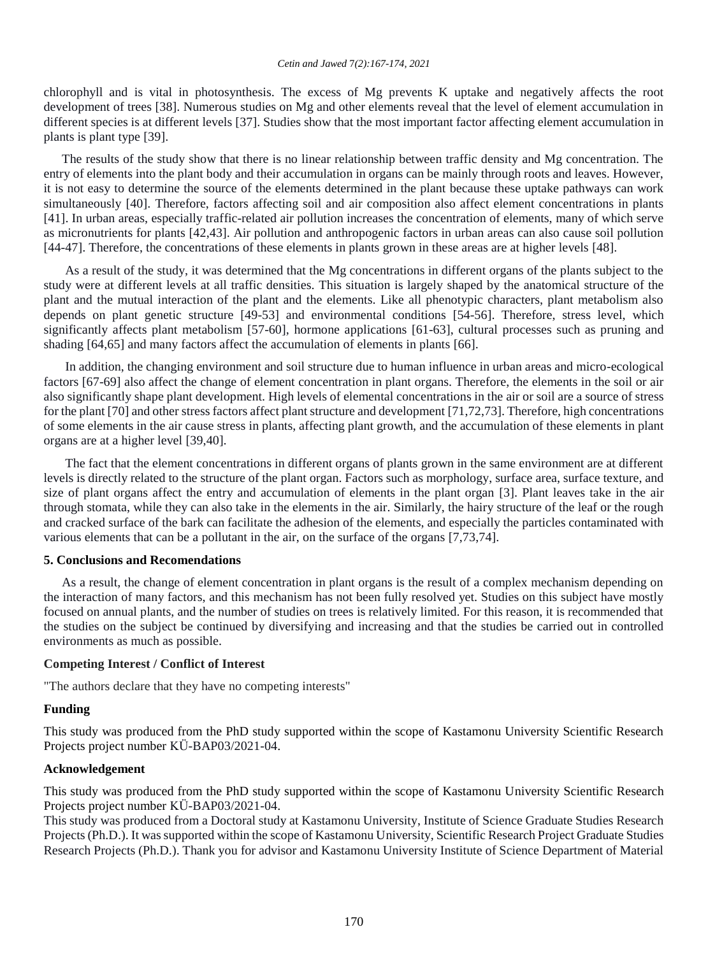chlorophyll and is vital in photosynthesis. The excess of Mg prevents K uptake and negatively affects the root development of trees [38]. Numerous studies on Mg and other elements reveal that the level of element accumulation in different species is at different levels [37]. Studies show that the most important factor affecting element accumulation in plants is plant type [39].

The results of the study show that there is no linear relationship between traffic density and Mg concentration. The entry of elements into the plant body and their accumulation in organs can be mainly through roots and leaves. However, it is not easy to determine the source of the elements determined in the plant because these uptake pathways can work simultaneously [40]. Therefore, factors affecting soil and air composition also affect element concentrations in plants [41]. In urban areas, especially traffic-related air pollution increases the concentration of elements, many of which serve as micronutrients for plants [42,43]. Air pollution and anthropogenic factors in urban areas can also cause soil pollution [44-47]. Therefore, the concentrations of these elements in plants grown in these areas are at higher levels [48].

As a result of the study, it was determined that the Mg concentrations in different organs of the plants subject to the study were at different levels at all traffic densities. This situation is largely shaped by the anatomical structure of the plant and the mutual interaction of the plant and the elements. Like all phenotypic characters, plant metabolism also depends on plant genetic structure [49-53] and environmental conditions [54-56]. Therefore, stress level, which significantly affects plant metabolism [57-60], hormone applications [61-63], cultural processes such as pruning and shading [64,65] and many factors affect the accumulation of elements in plants [66].

In addition, the changing environment and soil structure due to human influence in urban areas and micro-ecological factors [67-69] also affect the change of element concentration in plant organs. Therefore, the elements in the soil or air also significantly shape plant development. High levels of elemental concentrations in the air or soil are a source of stress for the plant [70] and other stress factors affect plant structure and development [71,72,73]. Therefore, high concentrations of some elements in the air cause stress in plants, affecting plant growth, and the accumulation of these elements in plant organs are at a higher level [39,40].

The fact that the element concentrations in different organs of plants grown in the same environment are at different levels is directly related to the structure of the plant organ. Factors such as morphology, surface area, surface texture, and size of plant organs affect the entry and accumulation of elements in the plant organ [3]. Plant leaves take in the air through stomata, while they can also take in the elements in the air. Similarly, the hairy structure of the leaf or the rough and cracked surface of the bark can facilitate the adhesion of the elements, and especially the particles contaminated with various elements that can be a pollutant in the air, on the surface of the organs [7,73,74].

#### **5. Conclusions and Recomendations**

As a result, the change of element concentration in plant organs is the result of a complex mechanism depending on the interaction of many factors, and this mechanism has not been fully resolved yet. Studies on this subject have mostly focused on annual plants, and the number of studies on trees is relatively limited. For this reason, it is recommended that the studies on the subject be continued by diversifying and increasing and that the studies be carried out in controlled environments as much as possible.

#### **Competing Interest / Conflict of Interest**

"The authors declare that they have no competing interests"

## **Funding**

This study was produced from the PhD study supported within the scope of Kastamonu University Scientific Research Projects project number KÜ-BAP03/2021-04.

## **Acknowledgement**

This study was produced from the PhD study supported within the scope of Kastamonu University Scientific Research Projects project number KÜ-BAP03/2021-04.

This study was produced from a Doctoral study at Kastamonu University, Institute of Science Graduate Studies Research Projects (Ph.D.). It was supported within the scope of Kastamonu University, Scientific Research Project Graduate Studies Research Projects (Ph.D.). Thank you for advisor and Kastamonu University Institute of Science Department of Material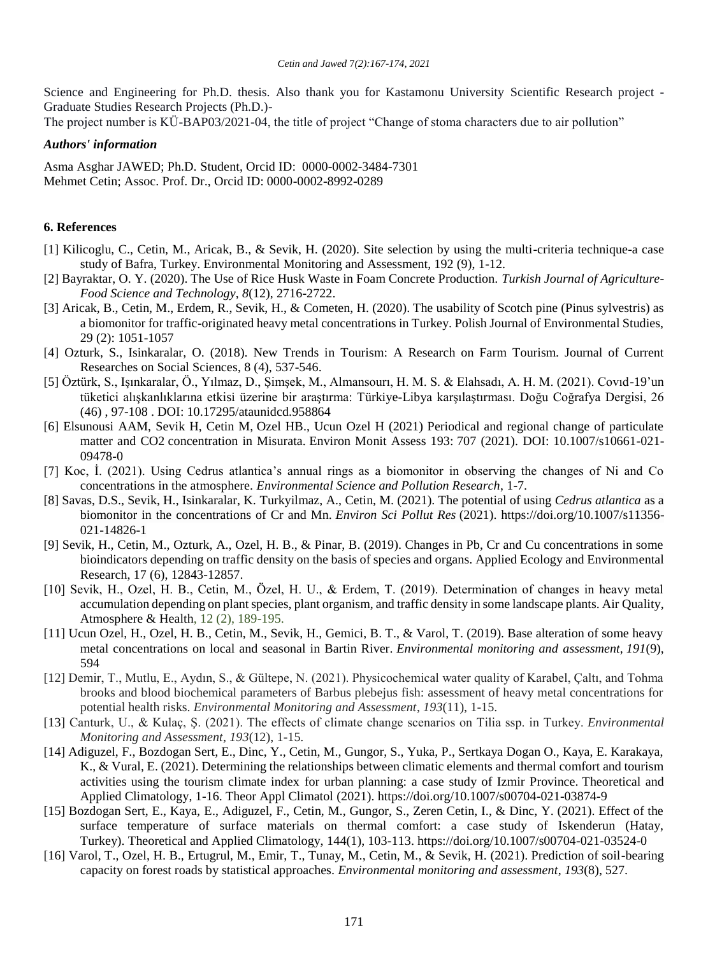Science and Engineering for Ph.D. thesis. Also thank you for Kastamonu University Scientific Research project - Graduate Studies Research Projects (Ph.D.)-

The project number is KÜ-BAP03/2021-04, the title of project "Change of stoma characters due to air pollution"

## *Authors' information*

Asma Asghar JAWED; Ph.D. Student, Orcid ID: 0000-0002-3484-7301 Mehmet Cetin; Assoc. Prof. Dr., Orcid ID: 0000-0002-8992-0289

## **6. References**

- [1] Kilicoglu, C., Cetin, M., Aricak, B., & Sevik, H. (2020). Site selection by using the multi-criteria technique-a case study of Bafra, Turkey. Environmental Monitoring and Assessment, 192 (9), 1-12.
- [2] Bayraktar, O. Y. (2020). The Use of Rice Husk Waste in Foam Concrete Production. *Turkish Journal of Agriculture-Food Science and Technology*, *8*(12), 2716-2722.
- [3] Aricak, B., Cetin, M., Erdem, R., Sevik, H., & Cometen, H. (2020). The usability of Scotch pine (Pinus sylvestris) as a biomonitor for traffic-originated heavy metal concentrations in Turkey. Polish Journal of Environmental Studies, 29 (2): 1051-1057
- [4] Ozturk, S., Isinkaralar, O. (2018). New Trends in Tourism: A Research on Farm Tourism. Journal of Current Researches on Social Sciences, 8 (4), 537-546.
- [5] Öztürk, S., Işınkaralar, Ö., Yılmaz, D., Şimşek, M., Almansourı, H. M. S. & Elahsadı, A. H. M. (2021). Covıd-19'un tüketici alışkanlıklarına etkisi üzerine bir araştırma: Türkiye-Libya karşılaştırması. Doğu Coğrafya Dergisi, 26 (46) , 97-108 . DOI: 10.17295/ataunidcd.958864
- [6] Elsunousi AAM, Sevik H, Cetin M, Ozel HB., Ucun Ozel H (2021) Periodical and regional change of particulate matter and CO2 concentration in Misurata. Environ Monit Assess 193: 707 (2021). DOI: 10.1007/s10661-021- 09478-0
- [7] Koc, İ. (2021). Using Cedrus atlantica's annual rings as a biomonitor in observing the changes of Ni and Co concentrations in the atmosphere. *Environmental Science and Pollution Research*, 1-7.
- [8] Savas, D.S., Sevik, H., Isinkaralar, K. Turkyilmaz, A., Cetin, M. (2021). The potential of using *Cedrus atlantica* as a biomonitor in the concentrations of Cr and Mn. *Environ Sci Pollut Res* (2021). https://doi.org/10.1007/s11356- 021-14826-1
- [9] Sevik, H., Cetin, M., Ozturk, A., Ozel, H. B., & Pinar, B. (2019). Changes in Pb, Cr and Cu concentrations in some bioindicators depending on traffic density on the basis of species and organs. Applied Ecology and Environmental Research, 17 (6), 12843-12857.
- [10] Sevik, H., Ozel, H. B., Cetin, M., Özel, H. U., & Erdem, T. (2019). Determination of changes in heavy metal accumulation depending on plant species, plant organism, and traffic density in some landscape plants. Air Quality, Atmosphere & Health, 12 (2), 189-195.
- [11] Ucun Ozel, H., Ozel, H. B., Cetin, M., Sevik, H., Gemici, B. T., & Varol, T. (2019). Base alteration of some heavy metal concentrations on local and seasonal in Bartin River. *Environmental monitoring and assessment*, *191*(9), 594
- [12] Demir, T., Mutlu, E., Aydın, S., & Gültepe, N. (2021). Physicochemical water quality of Karabel, Çaltı, and Tohma brooks and blood biochemical parameters of Barbus plebejus fish: assessment of heavy metal concentrations for potential health risks. *Environmental Monitoring and Assessment*, *193*(11), 1-15.
- [13] Canturk, U., & Kulaç, Ş. (2021). The effects of climate change scenarios on Tilia ssp. in Turkey. *Environmental Monitoring and Assessment*, *193*(12), 1-15.
- [14] Adiguzel, F., Bozdogan Sert, E., Dinc, Y., Cetin, M., Gungor, S., Yuka, P., Sertkaya Dogan O., Kaya, E. Karakaya, K., & Vural, E. (2021). Determining the relationships between climatic elements and thermal comfort and tourism activities using the tourism climate index for urban planning: a case study of Izmir Province. Theoretical and Applied Climatology, 1-16. Theor Appl Climatol (2021).<https://doi.org/10.1007/s00704-021-03874-9>
- [15] Bozdogan Sert, E., Kaya, E., Adiguzel, F., Cetin, M., Gungor, S., Zeren Cetin, I., & Dinc, Y. (2021). Effect of the surface temperature of surface materials on thermal comfort: a case study of Iskenderun (Hatay, Turkey). Theoretical and Applied Climatology, 144(1), 103-113. https://doi.org/10.1007/s00704-021-03524-0
- [16] Varol, T., Ozel, H. B., Ertugrul, M., Emir, T., Tunay, M., Cetin, M., & Sevik, H. (2021). Prediction of soil-bearing capacity on forest roads by statistical approaches. *Environmental monitoring and assessment*, *193*(8), 527.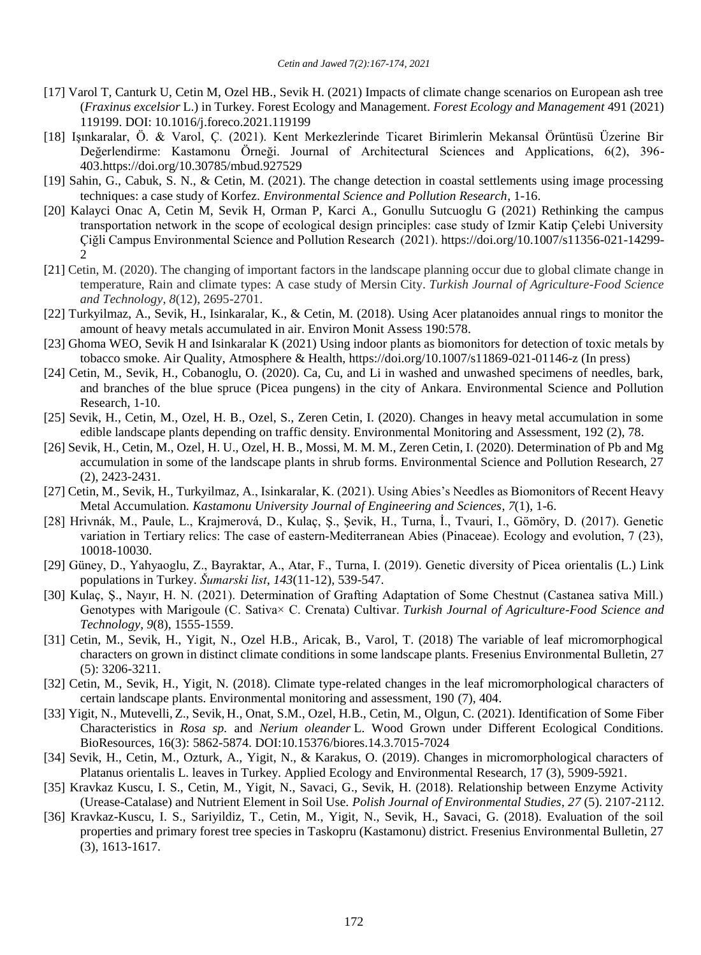- [17] Varol T, Canturk U, Cetin M, Ozel HB., Sevik H. (2021) Impacts of climate change scenarios on European ash tree (*Fraxinus excelsior* L.) in Turkey. Forest Ecology and Management. *Forest Ecology and Management* 491 (2021) 119199. DOI: 10.1016/j.foreco.2021.119199
- [18] Işınkaralar, Ö. & Varol, Ç. (2021). Kent Merkezlerinde Ticaret Birimlerin Mekansal Örüntüsü Üzerine Bir Değerlendirme: Kastamonu Örneği. Journal of Architectural Sciences and Applications, 6(2), 396- 403.https://doi.org/10.30785/mbud.927529
- [19] Sahin, G., Cabuk, S. N., & Cetin, M. (2021). The change detection in coastal settlements using image processing techniques: a case study of Korfez. *Environmental Science and Pollution Research*, 1-16.
- [20] Kalayci Onac A, Cetin M, Sevik H, Orman P, Karci A., Gonullu Sutcuoglu G (2021) Rethinking the campus transportation network in the scope of ecological design principles: case study of Izmir Katip Çelebi University Çiğli Campus Environmental Science and Pollution Research (2021)[. https://doi.org/10.1007/s11356-021-14299-](https://doi.org/10.1007/s11356-021-14299-2) [2](https://doi.org/10.1007/s11356-021-14299-2)
- [21] Cetin, M. (2020). The changing of important factors in the landscape planning occur due to global climate change in temperature, Rain and climate types: A case study of Mersin City. *Turkish Journal of Agriculture-Food Science and Technology*, *8*(12), 2695-2701.
- [22] Turkyilmaz, A., Sevik, H., Isinkaralar, K., & Cetin, M. (2018). Using Acer platanoides annual rings to monitor the amount of heavy metals accumulated in air. Environ Monit Assess 190:578.
- [23] Ghoma WEO, Sevik H and Isinkaralar K (2021) Using indoor plants as biomonitors for detection of toxic metals by tobacco smoke. Air Quality, Atmosphere & Health, https://doi.org/10.1007/s11869-021-01146-z (In press)
- [24] Cetin, M., Sevik, H., Cobanoglu, O. (2020). Ca, Cu, and Li in washed and unwashed specimens of needles, bark, and branches of the blue spruce (Picea pungens) in the city of Ankara. Environmental Science and Pollution Research, 1-10.
- [25] Sevik, H., Cetin, M., Ozel, H. B., Ozel, S., Zeren Cetin, I. (2020). Changes in heavy metal accumulation in some edible landscape plants depending on traffic density. Environmental Monitoring and Assessment, 192 (2), 78.
- [26] Sevik, H., Cetin, M., Ozel, H. U., Ozel, H. B., Mossi, M. M. M., Zeren Cetin, I. (2020). Determination of Pb and Mg accumulation in some of the landscape plants in shrub forms. Environmental Science and Pollution Research, 27 (2), 2423-2431.
- [27] Cetin, M., Sevik, H., Turkyilmaz, A., Isinkaralar, K. (2021). Using Abies's Needles as Biomonitors of Recent Heavy Metal Accumulation. *Kastamonu University Journal of Engineering and Sciences*, *7*(1), 1-6.
- [28] Hrivnák, M., Paule, L., Krajmerová, D., Kulaç, Ş., Şevik, H., Turna, İ., Tvauri, I., Gömöry, D. (2017). Genetic variation in Tertiary relics: The case of eastern-Mediterranean Abies (Pinaceae). Ecology and evolution, 7 (23), 10018-10030.
- [29] Güney, D., Yahyaoglu, Z., Bayraktar, A., Atar, F., Turna, I. (2019). Genetic diversity of Picea orientalis (L.) Link populations in Turkey. *Šumarski list*, *143*(11-12), 539-547.
- [30] Kulaç, Ş., Nayır, H. N. (2021). Determination of Grafting Adaptation of Some Chestnut (Castanea sativa Mill.) Genotypes with Marigoule (C. Sativa× C. Crenata) Cultivar. *Turkish Journal of Agriculture-Food Science and Technology*, *9*(8), 1555-1559.
- [31] Cetin, M., Sevik, H., Yigit, N., Ozel H.B., Aricak, B., Varol, T. (2018) The variable of leaf micromorphogical characters on grown in distinct climate conditions in some landscape plants. Fresenius Environmental Bulletin, 27 (5): 3206-3211.
- [32] Cetin, M., Sevik, H., Yigit, N. (2018). Climate type-related changes in the leaf micromorphological characters of certain landscape plants. Environmental monitoring and assessment, 190 (7), 404.
- [33] Yigit, N., Mutevelli, Z., Sevik, H., Onat, S.M., Ozel, H.B., Cetin, M., Olgun, C. (2021). Identification of Some Fiber Characteristics in *Rosa sp.* and *Nerium oleander* L. Wood Grown under Different Ecological Conditions. BioResources, 16(3): 5862-5874. DOI:10.15376/biores.14.3.7015-7024
- [34] Sevik, H., Cetin, M., Ozturk, A., Yigit, N., & Karakus, O. (2019). Changes in micromorphological characters of Platanus orientalis L. leaves in Turkey. Applied Ecology and Environmental Research, 17 (3), 5909-5921.
- [35] Kravkaz Kuscu, I. S., Cetin, M., Yigit, N., Savaci, G., Sevik, H. (2018). Relationship between Enzyme Activity (Urease-Catalase) and Nutrient Element in Soil Use. *Polish Journal of Environmental Studies*, *27* (5). 2107-2112.
- [36] Kravkaz-Kuscu, I. S., Sariyildiz, T., Cetin, M., Yigit, N., Sevik, H., Savaci, G. (2018). Evaluation of the soil properties and primary forest tree species in Taskopru (Kastamonu) district. Fresenius Environmental Bulletin, 27 (3), 1613-1617.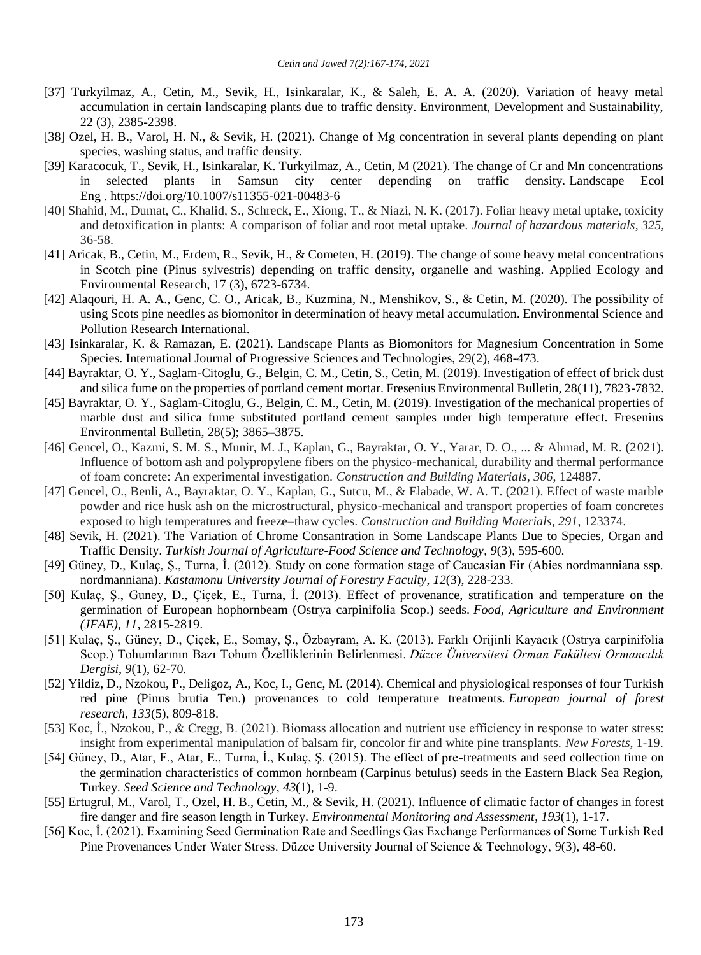- [37] Turkyilmaz, A., Cetin, M., Sevik, H., Isinkaralar, K., & Saleh, E. A. A. (2020). Variation of heavy metal accumulation in certain landscaping plants due to traffic density. Environment, Development and Sustainability, 22 (3), 2385-2398.
- [38] Ozel, H. B., Varol, H. N., & Sevik, H. (2021). Change of Mg concentration in several plants depending on plant species, washing status, and traffic density.
- [39] Karacocuk, T., Sevik, H., Isinkaralar, K. Turkyilmaz, A., Cetin, M (2021). The change of Cr and Mn concentrations in selected plants in Samsun city center depending on traffic density. Landscape Ecol Eng . <https://doi.org/10.1007/s11355-021-00483-6>
- [40] Shahid, M., Dumat, C., Khalid, S., Schreck, E., Xiong, T., & Niazi, N. K. (2017). Foliar heavy metal uptake, toxicity and detoxification in plants: A comparison of foliar and root metal uptake. *Journal of hazardous materials*, *325*, 36-58.
- [41] Aricak, B., Cetin, M., Erdem, R., Sevik, H., & Cometen, H. (2019). The change of some heavy metal concentrations in Scotch pine (Pinus sylvestris) depending on traffic density, organelle and washing. Applied Ecology and Environmental Research, 17 (3), 6723-6734.
- [42] Alaqouri, H. A. A., Genc, C. O., Aricak, B., Kuzmina, N., Menshikov, S., & Cetin, M. (2020). The possibility of using Scots pine needles as biomonitor in determination of heavy metal accumulation. Environmental Science and Pollution Research International.
- [43] Isinkaralar, K. & Ramazan, E. (2021). Landscape Plants as Biomonitors for Magnesium Concentration in Some Species. International Journal of Progressive Sciences and Technologies, 29(2), 468-473.
- [44] Bayraktar, O. Y., Saglam-Citoglu, G., Belgin, C. M., Cetin, S., Cetin, M. (2019). Investigation of effect of brick dust and silica fume on the properties of portland cement mortar. Fresenius Environmental Bulletin, 28(11), 7823-7832.
- [45] Bayraktar, O. Y., Saglam-Citoglu, G., Belgin, C. M., Cetin, M. (2019). Investigation of the mechanical properties of marble dust and silica fume substituted portland cement samples under high temperature effect. Fresenius Environmental Bulletin, 28(5); 3865–3875.
- [46] Gencel, O., Kazmi, S. M. S., Munir, M. J., Kaplan, G., Bayraktar, O. Y., Yarar, D. O., ... & Ahmad, M. R. (2021). Influence of bottom ash and polypropylene fibers on the physico-mechanical, durability and thermal performance of foam concrete: An experimental investigation. *Construction and Building Materials*, *306*, 124887.
- [47] Gencel, O., Benli, A., Bayraktar, O. Y., Kaplan, G., Sutcu, M., & Elabade, W. A. T. (2021). Effect of waste marble powder and rice husk ash on the microstructural, physico-mechanical and transport properties of foam concretes exposed to high temperatures and freeze–thaw cycles. *Construction and Building Materials*, *291*, 123374.
- [48] Sevik, H. (2021). The Variation of Chrome Consantration in Some Landscape Plants Due to Species, Organ and Traffic Density. *Turkish Journal of Agriculture-Food Science and Technology*, *9*(3), 595-600.
- [49] Güney, D., Kulaç, Ş., Turna, İ. (2012). Study on cone formation stage of Caucasian Fir (Abies nordmanniana ssp. nordmanniana). *Kastamonu University Journal of Forestry Faculty*, *12*(3), 228-233.
- [50] Kulaç, Ş., Guney, D., Çiçek, E., Turna, İ. (2013). Effect of provenance, stratification and temperature on the germination of European hophornbeam (Ostrya carpinifolia Scop.) seeds. *Food, Agriculture and Environment (JFAE)*, *11*, 2815-2819.
- [51] Kulaç, Ş., Güney, D., Çiçek, E., Somay, Ş., Özbayram, A. K. (2013). Farklı Orijinli Kayacık (Ostrya carpinifolia Scop.) Tohumlarının Bazı Tohum Özelliklerinin Belirlenmesi. *Düzce Üniversitesi Orman Fakültesi Ormancılık Dergisi*, *9*(1), 62-70.
- [52] Yildiz, D., Nzokou, P., Deligoz, A., Koc, I., Genc, M. (2014). Chemical and physiological responses of four Turkish red pine (Pinus brutia Ten.) provenances to cold temperature treatments. *European journal of forest research*, *133*(5), 809-818.
- [53] Koc, İ., Nzokou, P., & Cregg, B. (2021). Biomass allocation and nutrient use efficiency in response to water stress: insight from experimental manipulation of balsam fir, concolor fir and white pine transplants. *New Forests*, 1-19.
- [54] Güney, D., Atar, F., Atar, E., Turna, İ., Kulaç, Ş. (2015). The effect of pre-treatments and seed collection time on the germination characteristics of common hornbeam (Carpinus betulus) seeds in the Eastern Black Sea Region, Turkey. *Seed Science and Technology*, *43*(1), 1-9.
- [55] Ertugrul, M., Varol, T., Ozel, H. B., Cetin, M., & Sevik, H. (2021). Influence of climatic factor of changes in forest fire danger and fire season length in Turkey. *Environmental Monitoring and Assessment*, *193*(1), 1-17.
- [56] Koc, İ. (2021). Examining Seed Germination Rate and Seedlings Gas Exchange Performances of Some Turkish Red Pine Provenances Under Water Stress. Düzce University Journal of Science & Technology, 9(3), 48-60.